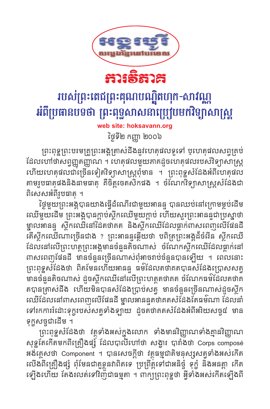



## របស់ព្រះតេជព្រះគុណបណ្ឌិតហុក-សាវណ្ណ អំពីប្រធានបទថា ព្រះពុទ្ធសាសនាប្រេប្រមកវិទ្យាសាស្ត្រ

web site: hoksavann.org

ថ្ងៃទី២ កញ្ញា ២០០៦

ព្រះពុទ្ឋព្រះបរមគ្រូព្រះអង្គត្រាស់ដឹងនូវហេតុផលទូទៅ ឬហេតុផលសព្វគ្រប់ ដែលហៅថាសព្វញ្ញតញ្ញាណ ។ ហេតុផលមួយភាគដូចហេតុផលរបស់វិទ្យាសាស្ត្រ ហើយហេតុផលជាច្រើនទៀតវិទ្យាសាស្ត្រពុំមាន ។ ព្រះពុទ្ឋសំដែងអំពីហេតុផល តាមរូបធាតុផងនិងនាមធាតុ គឺចិត្តចេតសិកផង ។ ចំណែកវិទ្យាសាស្ត្រសំដែងជា ពិសេសអំពីរូបធាតុ ។

ថ្ងៃមួយព្រះអង្គបានយាងធ្វើដំណើរជាមួយអានន្ទ បានឈប់នៅក្រោមម្លប់ដើម ឈើមួយដើម ព្រះអង្គបានក្តាប់ស្ថិកឈើមួយក្តាប់ ហើយសួរព្រះអានន្ទជាប្រស្នាថា ម្នាលអានន្ទ ស្ថិកឈើនៅដៃតថាគត និងស្ថិកឈើដែលធ្លាក់ពាសពេញលើផែនដី តើស្ថិកឈើណាច្រើនជាង ? ព្រះអានន្ទឆ្លើយថា បពិត្រព្រះអង្គដ៏ចំពីន ស្ថិកឈើ ដែលនៅលើព្រះហត្ថព្រះអង្គមានចំនួនតិចណាស់ ចំណែកស្ថិកឈើដែលធ្លាក់នៅ ពាសពេញផែនដី មានចំនួនច្រើនណាស់ពុំអាចរាប់ចំនួនបានឡើយ ។ ពេលនោះ ព្រះពុទ្ឋសំដែងថា ពិតមែនហើយអានន្ទ ធម៌ដែលតថាគតបានសំដែងប្រោសសត្វ មានចំនួនតិចណាស់ ដួចស្ថិកឈើនៅលើព្រះហត្ថតថាគត ចំណែកធម៌ដែលតថាគ តបានត្រាស់ដឹង ហើយមិនបានសំដែងប្រាប់សត្វ មានចំនួនច្រើនណាស់ដួចស្ថិក ឈើដែលនៅពាសពេញលើផែនដី ម្នាលអានន្ទួតថាគតសំដែងតែធម៌ណា ដែលនាំ ទៅរកការរំដោះទុក្ខរបស់សត្វទាំងឡាយ ដូចតថាគតសំដែងអំពីអរិយសច្ច៨ មាន ទុក្ខសច្ចជាដើម ។

ព្រះពុទ្ធសំដែងថា វត្ថុទាំងអស់ក្នុងលោក ទាំងមានវិញ្ញាណទាំងគ្មានវិញ្ញាណ សុទ្ធតែកើតមកពីគ្រឿងផ្សុំ ដែលបាលីហៅថា សង្ខារ បារាំងថា Corps composé អង់គ្លេសថា Component ។ បានសេចក្ដីថា វត្ថុធម្មជាតិមនុស្សសត្វទាំងអស់កើត លើងពីគ្រឿងផ្សំ ពុំមែនជាតួខ្លួនវាពិតទេ ប្រព្រឹត្តទៅជាអនិច្ចំ ទុក្ខំ និងអនត្តា កើត ឡើងហើយ តែងរលត់ទៅវិញជាធម្មតា ។ ពាក្យព្រះពុទ្ឋថា អ្វីទាំងអស់កើតឡើងពី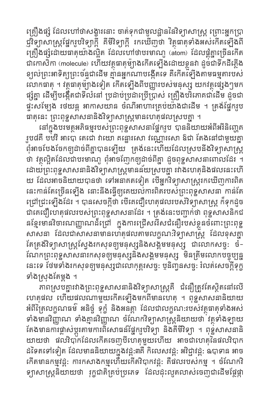គ្រឿងផ្សំ ដែលហៅថាសង្ខារនោះ ចាត់ទុកជាមូលដ្ឋាននៃវិទ្យាសាស្ត្រ ព្រោះអ្នកប្រា ជ្ញវិទ្យាសាស្ត្រផ្នែករូបវិទ្យាក្ដី គីមីវិទ្យាក្ដី រកឃើញថា វិត្ថុធាតុទាំងអស់កើតទ្បើងពី គ្រឿងផ្សំដោយធាតុយ៉ាងល្អិត ដែលហៅថាបរមាណូ (atom) ដែលផ្គុំគ្នាច្រើនកើត ជាកោសិកា (molecule) ហើយវត្ថុធាតុម៉្យាងកើតឡើងដោយខ្លួនវា ដូចជាទឹកដីភ្លើង<br>ខ្យល់ព្រះអាទិត្យព្រះច័ន្ទជាដើម គ្មានអ្នកណាបង្កើតទេ គឺកើតទ្បើងតាមធម្មតារបស់ លោកធាតុ ។ វត្ថុធាតុម៉្យាងទៀត កើតទ្បើងពីបញ្ញារបស់មនុស្ស យកវត្ថុផ្សេងៗមក ផ្សំគ្នា ដើម្បីបង្កើតជាទីលំនៅ ប្រដាប់ប្រដាប្រើប្រាស់ គ្រឿងបរិភោគជាដើម ដូចជា ផ្ទះសម្បែង រថយន្ត អាកាសយាន ចំណីអាហារគ្រប់យ៉ាងជាដើម ។ ត្រង់ផ្នែករូប ធាតុនេះ ព្រះពុទ្ឋសាសនានិងវិទ្យាសាស្ត្រមានហេតុផលស្របគ្នា ។

នៅក្នុងបរមត្ថុអភិធម្មរបស់ព្រះពុទ្ឋសាសនាផ្នែករូប បាននិយាយអំពីអរិនិញ្ចេត រូប៨គឺ បឋវិ អាបោ តេជោ វាយោ គគ្នោរសោ វណ្ណោរសោ ឱជា តែងនៅជាមួយគ្នា ពុំអាចបែងចែកឲ្យដាច់ពីគ្នាបានទ្បើយ គ្រង់នេះហើយដែលស្របនឹងវិទ្យាសាស្ត្រ ថា វត្ថុល្អិតដែលជាបរមាណូ ពុំអាចញែកឲ្យដាច់ពីគ្នា ដួចពុទ្ឋសាសនាពោលដែរ ។ ដោយព្រះពុទ្ឋសាសនានិងវិទ្យាសាស្ត្រមានន័យស្របគ្នា វវាងហេតុនិងផលនេះហើ យ ដែលអាចនិយាយបានថា ទៅអនាគតទៀត បើអ្នកវិទ្យាសាស្ត្ររកឃើញការពិត នេះកាន់តែច្រើនឡើង នោះនឹងធ្វើឲ្យគេយល់ការពិតរបស់ព្រះពុទ្ឋសាសនា កាន់តែ ជ្រៅជ្រះឡើងដែរ ។ បានសេចក្ដីថា បើគេជឿហេតុផលរបស់វិទ្យាសាស្ត្រ ក៏ទុកដូច ជាគេជឿហេតុផលរបស់ព្រះពុទ្ឋសាសនាដែរ ។ ត្រង់នេះបញ្ជាក់ថា ពុទ្ឋសាសនិកជ នខ្មែរមានវិចារណញ្ញាណដ៏ជ្រៅ ក្នុងការជ្រើសរើសជំនឿរបស់ខ្លួនចំពោះព្រះពុទ្ឋ សាសនា ដែលជាសាសនាមានហេតុផលតាមលក្ខណៈវិទ្យាសាស្ត្រ ដែលខុសគ្នា តែត្រង់វិទ្យាសាស្ត្រស្វែងរកសុខឲ្យមនុស្សនិងសង្គមមនុស្ស ជាលោកសច្ច: ចំ-ណែកព្រះពុទ្ឋសាសនារកសុខឲ្យមនុស្សនិងសង្គមមនុស្ស មិនត្រឹមលោកបច្ចុប្បន្ន នេះទេ ថែមទាំងរកសុខឲ្យមនុស្សជាលោកុត្តរសច្ច: ប្ឫនិញ្វូនសច្ច: រំលត់សេចក្តីទុក្ខ ទាំងស្រុងតែម្តង ។

ភាពស្របគ្នាវវាងព្រះពុទ្ធសាសនានិងវិទ្យាសាស្រ្តគឺ ជំនឿត្រូវតែស្ថិតនៅលើ ហេតុផល ហើយផលណាមួយកើតទ្បើងមកពីមានហេតុ ។ ពុទ្ធសាសនានិយាយ អំពីត្រៃលក្ខណធម៌ អនិច្ចំ ទុក្ខំ និងអនត្តា ដែលជាលក្ខណ:របស់វត្ថុធាតុទាំងអស់ ទាំងមានវិញ្ញាណ ទាំងគ្មានវិញ្ញាណ ចំណែកវិទ្យាសាស្ត្រនិយាយថា វត្ថុទាំងឡាយ តែងមានការផ្លាស់ប្តូរតាមការពិសោធន៍ផ្នែករូបវិទ្យា និងគីមីវិទ្យា ។ ពុទ្ឋសាសនានិ យាយថា ផលវិបាកដែលកើតចេញបីហេតុមួយហើយ អាចជាហេតុនៃផលវិបាក ដទៃតទៅទៀត ដែលមាននិយាយក្នុងវដ្ដ:៣គឺ កិលេសវដ្ដ: អវិជ្ជាវដ្ដ: ឧបាទាន អាច កើតមានកម្មវដ្ត: ការកសាងកម្មហើយកើតវិបាកវដ្ត: គឺផលរបស់កម្ម ។ ចំណែកវិ ទ្យាសាស្ត្រនិយាយថា រុក្ខជាតិគ្រប់ប្រភេទ ដែលដុះលូតលាស់ចេញជាដើមផ្តែផ្កា